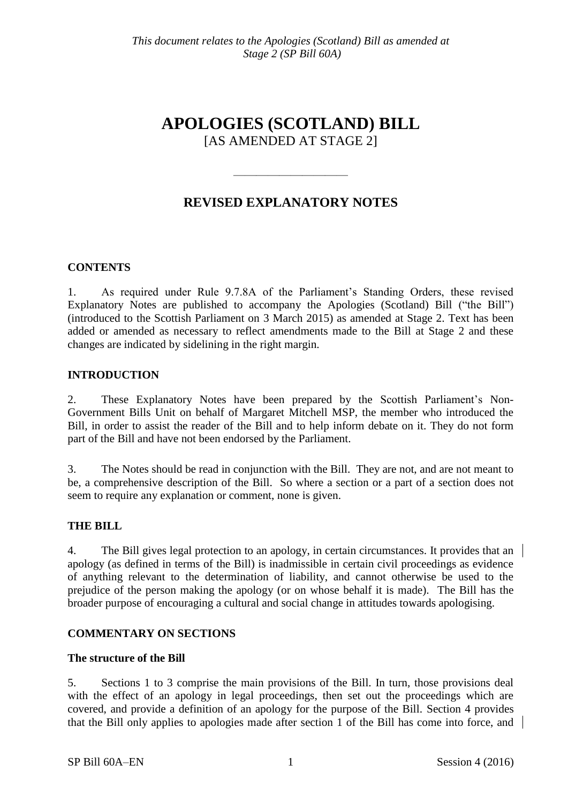# **APOLOGIES (SCOTLAND) BILL** [AS AMENDED AT STAGE 2]

# **REVISED EXPLANATORY NOTES**

 $\frac{1}{\sqrt{2}}$ 

### **CONTENTS**

1. As required under Rule 9.7.8A of the Parliament's Standing Orders, these revised Explanatory Notes are published to accompany the Apologies (Scotland) Bill ("the Bill") (introduced to the Scottish Parliament on 3 March 2015) as amended at Stage 2. Text has been added or amended as necessary to reflect amendments made to the Bill at Stage 2 and these changes are indicated by sidelining in the right margin.

### **INTRODUCTION**

2. These Explanatory Notes have been prepared by the Scottish Parliament's Non-Government Bills Unit on behalf of Margaret Mitchell MSP, the member who introduced the Bill, in order to assist the reader of the Bill and to help inform debate on it. They do not form part of the Bill and have not been endorsed by the Parliament.

3. The Notes should be read in conjunction with the Bill. They are not, and are not meant to be, a comprehensive description of the Bill. So where a section or a part of a section does not seem to require any explanation or comment, none is given.

### **THE BILL**

4. The Bill gives legal protection to an apology, in certain circumstances. It provides that an apology (as defined in terms of the Bill) is inadmissible in certain civil proceedings as evidence of anything relevant to the determination of liability, and cannot otherwise be used to the prejudice of the person making the apology (or on whose behalf it is made). The Bill has the broader purpose of encouraging a cultural and social change in attitudes towards apologising.

### **COMMENTARY ON SECTIONS**

#### **The structure of the Bill**

5. Sections 1 to 3 comprise the main provisions of the Bill. In turn, those provisions deal with the effect of an apology in legal proceedings, then set out the proceedings which are covered, and provide a definition of an apology for the purpose of the Bill. Section 4 provides that the Bill only applies to apologies made after section 1 of the Bill has come into force, and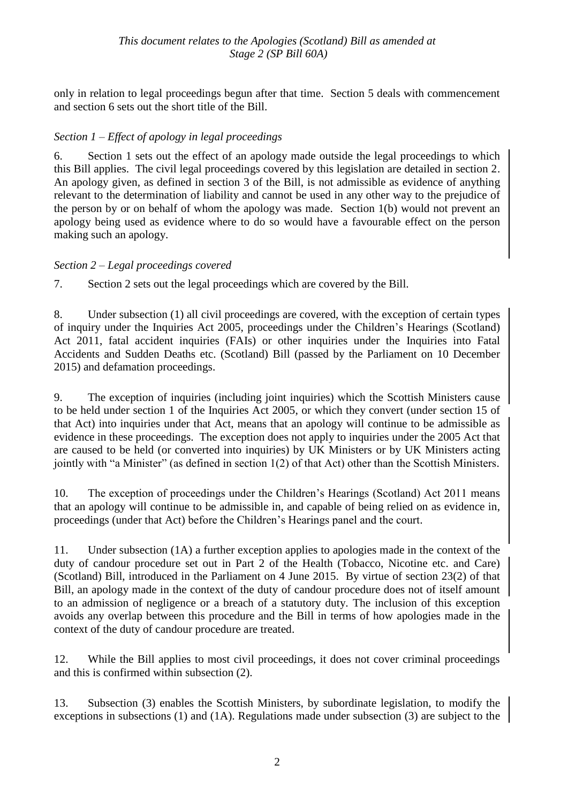only in relation to legal proceedings begun after that time. Section 5 deals with commencement and section 6 sets out the short title of the Bill.

### *Section 1 – Effect of apology in legal proceedings*

6. Section 1 sets out the effect of an apology made outside the legal proceedings to which this Bill applies. The civil legal proceedings covered by this legislation are detailed in section 2. An apology given, as defined in section 3 of the Bill, is not admissible as evidence of anything relevant to the determination of liability and cannot be used in any other way to the prejudice of the person by or on behalf of whom the apology was made. Section 1(b) would not prevent an apology being used as evidence where to do so would have a favourable effect on the person making such an apology.

### *Section 2 – Legal proceedings covered*

7. Section 2 sets out the legal proceedings which are covered by the Bill.

8. Under subsection (1) all civil proceedings are covered, with the exception of certain types of inquiry under the Inquiries Act 2005, proceedings under the Children's Hearings (Scotland) Act 2011, fatal accident inquiries (FAIs) or other inquiries under the Inquiries into Fatal Accidents and Sudden Deaths etc. (Scotland) Bill (passed by the Parliament on 10 December 2015) and defamation proceedings.

9. The exception of inquiries (including joint inquiries) which the Scottish Ministers cause to be held under section 1 of the Inquiries Act 2005, or which they convert (under section 15 of that Act) into inquiries under that Act, means that an apology will continue to be admissible as evidence in these proceedings. The exception does not apply to inquiries under the 2005 Act that are caused to be held (or converted into inquiries) by UK Ministers or by UK Ministers acting jointly with "a Minister" (as defined in section  $1(2)$  of that Act) other than the Scottish Ministers.

10. The exception of proceedings under the Children's Hearings (Scotland) Act 2011 means that an apology will continue to be admissible in, and capable of being relied on as evidence in, proceedings (under that Act) before the Children's Hearings panel and the court.

11. Under subsection (1A) a further exception applies to apologies made in the context of the duty of candour procedure set out in Part 2 of the Health (Tobacco, Nicotine etc. and Care) (Scotland) Bill, introduced in the Parliament on 4 June 2015. By virtue of section 23(2) of that Bill, an apology made in the context of the duty of candour procedure does not of itself amount to an admission of negligence or a breach of a statutory duty. The inclusion of this exception avoids any overlap between this procedure and the Bill in terms of how apologies made in the context of the duty of candour procedure are treated.

12. While the Bill applies to most civil proceedings, it does not cover criminal proceedings and this is confirmed within subsection (2).

13. Subsection (3) enables the Scottish Ministers, by subordinate legislation, to modify the exceptions in subsections (1) and (1A). Regulations made under subsection (3) are subject to the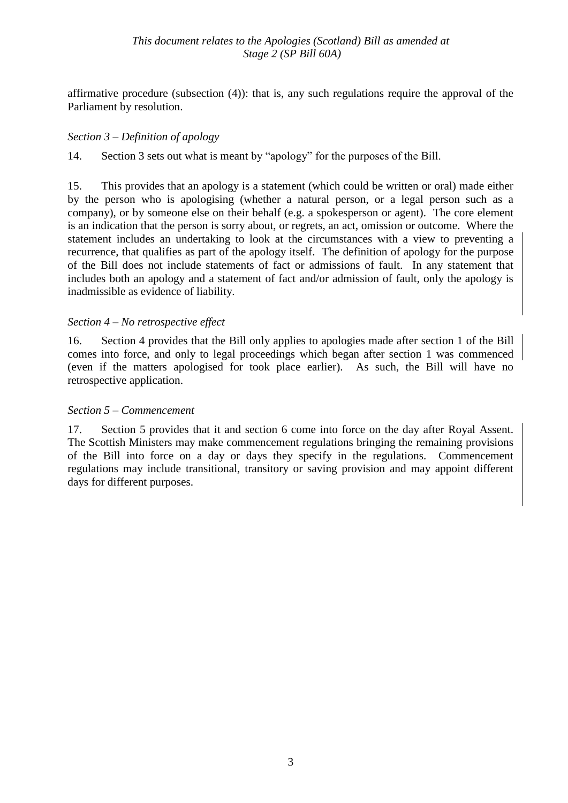affirmative procedure (subsection (4)): that is, any such regulations require the approval of the Parliament by resolution.

### *Section 3 – Definition of apology*

14. Section 3 sets out what is meant by "apology" for the purposes of the Bill.

15. This provides that an apology is a statement (which could be written or oral) made either by the person who is apologising (whether a natural person, or a legal person such as a company), or by someone else on their behalf (e.g. a spokesperson or agent). The core element is an indication that the person is sorry about, or regrets, an act, omission or outcome. Where the statement includes an undertaking to look at the circumstances with a view to preventing a recurrence, that qualifies as part of the apology itself. The definition of apology for the purpose of the Bill does not include statements of fact or admissions of fault. In any statement that includes both an apology and a statement of fact and/or admission of fault, only the apology is inadmissible as evidence of liability.

### *Section 4 – No retrospective effect*

16. Section 4 provides that the Bill only applies to apologies made after section 1 of the Bill comes into force, and only to legal proceedings which began after section 1 was commenced (even if the matters apologised for took place earlier). As such, the Bill will have no retrospective application.

### *Section 5 – Commencement*

17. Section 5 provides that it and section 6 come into force on the day after Royal Assent. The Scottish Ministers may make commencement regulations bringing the remaining provisions of the Bill into force on a day or days they specify in the regulations. Commencement regulations may include transitional, transitory or saving provision and may appoint different days for different purposes.